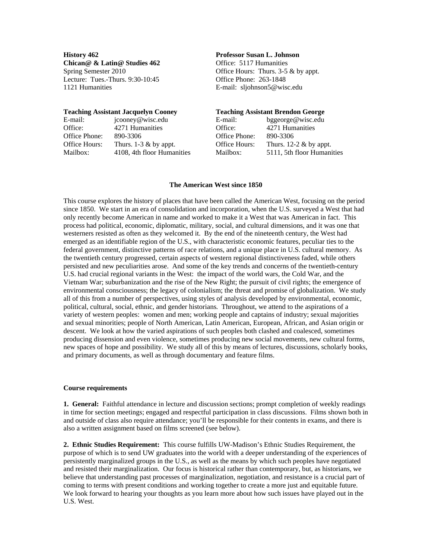**History 462 Professor Susan L. Johnson Chican@ & Latin@ Studies 462** Office: 5117 Humanities Lecture: Tues.-Thurs. 9:30-10:45 Office Phone: 263-1848 1121 Humanities E-mail: [sljohnson5@wisc.edu](mailto:sljohnson5@wisc.edu) 

Spring Semester 2010 Office Hours: Thurs. 3-5 & by appt.

|               | <b>Teaching Assistant Jacquelyn Cooney</b> | <b>Teaching Assistant Brendon George</b> |                            |
|---------------|--------------------------------------------|------------------------------------------|----------------------------|
| E-mail:       | jcooney@wisc.edu                           | E-mail:                                  | bggeorge@wisc.edu          |
| Office:       | 4271 Humanities                            | Office:                                  | 4271 Humanities            |
| Office Phone: | 890-3306                                   | Office Phone:                            | 890-3306                   |
| Office Hours: | Thurs. $1-3 \&$ by appt.                   | Office Hours:                            | Thurs. 12-2 $\&$ by appt.  |
| Mailbox:      | 4108, 4th floor Humanities                 | Mailbox:                                 | 5111, 5th floor Humanities |

#### **The American West since 1850**

This course explores the history of places that have been called the American West, focusing on the period since 1850. We start in an era of consolidation and incorporation, when the U.S. surveyed a West that had only recently become American in name and worked to make it a West that was American in fact. This process had political, economic, diplomatic, military, social, and cultural dimensions, and it was one that westerners resisted as often as they welcomed it. By the end of the nineteenth century, the West had emerged as an identifiable region of the U.S., with characteristic economic features, peculiar ties to the federal government, distinctive patterns of race relations, and a unique place in U.S. cultural memory. As the twentieth century progressed, certain aspects of western regional distinctiveness faded, while others persisted and new peculiarities arose. And some of the key trends and concerns of the twentieth-century U.S. had crucial regional variants in the West: the impact of the world wars, the Cold War, and the Vietnam War; suburbanization and the rise of the New Right; the pursuit of civil rights; the emergence of environmental consciousness; the legacy of colonialism; the threat and promise of globalization. We study all of this from a number of perspectives, using styles of analysis developed by environmental, economic, political, cultural, social, ethnic, and gender historians. Throughout, we attend to the aspirations of a variety of western peoples: women and men; working people and captains of industry; sexual majorities and sexual minorities; people of North American, Latin American, European, African, and Asian origin or descent. We look at how the varied aspirations of such peoples both clashed and coalesced, sometimes producing dissension and even violence, sometimes producing new social movements, new cultural forms, new spaces of hope and possibility. We study all of this by means of lectures, discussions, scholarly books, and primary documents, as well as through documentary and feature films.

# **Course requirements**

**1. General:** Faithful attendance in lecture and discussion sections; prompt completion of weekly readings in time for section meetings; engaged and respectful participation in class discussions. Films shown both in and outside of class also require attendance; you'll be responsible for their contents in exams, and there is also a written assignment based on films screened (see below).

**2. Ethnic Studies Requirement:** This course fulfills UW-Madison's Ethnic Studies Requirement, the purpose of which is to send UW graduates into the world with a deeper understanding of the experiences of persistently marginalized groups in the U.S., as well as the means by which such peoples have negotiated and resisted their marginalization. Our focus is historical rather than contemporary, but, as historians, we believe that understanding past processes of marginalization, negotiation, and resistance is a crucial part of coming to terms with present conditions and working together to create a more just and equitable future. We look forward to hearing your thoughts as you learn more about how such issues have played out in the U.S. West.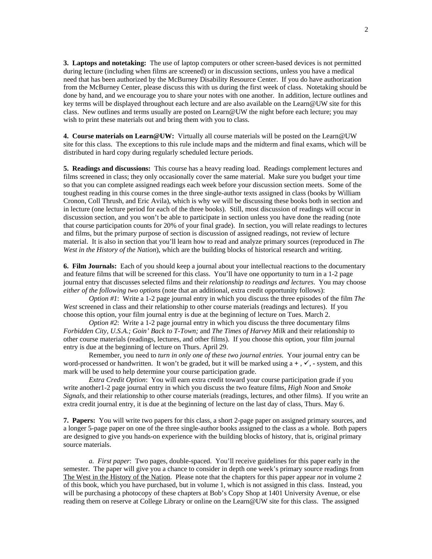**3. Laptops and notetaking:** The use of laptop computers or other screen-based devices is not permitted during lecture (including when films are screened) or in discussion sections, unless you have a medical need that has been authorized by the McBurney Disability Resource Center. If you do have authorization from the McBurney Center, please discuss this with us during the first week of class. Notetaking should be done by hand, and we encourage you to share your notes with one another. In addition, lecture outlines and key terms will be displayed throughout each lecture and are also available on the Learn@UW site for this class. New outlines and terms usually are posted on Learn@UW the night before each lecture; you may wish to print these materials out and bring them with you to class.

**4. Course materials on Learn@UW:** Virtually all course materials will be posted on the Learn@UW site for this class. The exceptions to this rule include maps and the midterm and final exams, which will be distributed in hard copy during regularly scheduled lecture periods.

**5. Readings and discussions:** This course has a heavy reading load. Readings complement lectures and films screened in class; they only occasionally cover the same material. Make sure you budget your time so that you can complete assigned readings each week before your discussion section meets. Some of the toughest reading in this course comes in the three single-author texts assigned in class (books by William Cronon, Coll Thrush, and Eric Avila), which is why we will be discussing these books both in section and in lecture (one lecture period for each of the three books). Still, most discussion of readings will occur in discussion section, and you won't be able to participate in section unless you have done the reading (note that course participation counts for 20% of your final grade). In section, you will relate readings to lectures and films, but the primary purpose of section is discussion of assigned readings, not review of lecture material. It is also in section that you'll learn how to read and analyze primary sources (reproduced in *The West in the History of the Nation*), which are the building blocks of historical research and writing.

**6. Film Journals:** Each of you should keep a journal about your intellectual reactions to the documentary and feature films that will be screened for this class. You'll have one opportunity to turn in a 1-2 page journal entry that discusses selected films and their *relationship to readings and lectures*. You may choose *either of the following two options* (note that an additional, extra credit opportunity follows):

*Option #1*: Write a 1-2 page journal entry in which you discuss the three episodes of the film *The West* screened in class and their relationship to other course materials (readings and lectures). If you choose this option, your film journal entry is due at the beginning of lecture on Tues. March 2.

*Option #2*: Write a 1-2 page journal entry in which you discuss the three documentary films *Forbidden City, U.S.A.; Goin' Back to T-Town;* and *The Times of Harvey Milk* and their relationship to other course materials (readings, lectures, and other films). If you choose this option, your film journal entry is due at the beginning of lecture on Thurs. April 29.

Remember, you need to *turn in only one of these two journal entries*. Your journal entry can be word-processed or handwritten. It won't be graded, but it will be marked using  $a +$ ,  $\checkmark$ , - system, and this mark will be used to help determine your course participation grade.

*Extra Credit Option*: You will earn extra credit toward your course participation grade if you write another1-2 page journal entry in which you discuss the two feature films, *High Noon* and *Smoke Signals*, and their relationship to other course materials (readings, lectures, and other films). If you write an extra credit journal entry, it is due at the beginning of lecture on the last day of class, Thurs. May 6.

**7. Papers:** You will write two papers for this class, a short 2-page paper on assigned primary sources, and a longer 5-page paper on one of the three single-author books assigned to the class as a whole. Both papers are designed to give you hands-on experience with the building blocks of history, that is, original primary source materials.

*a. First paper*: Two pages, double-spaced. You'll receive guidelines for this paper early in the semester. The paper will give you a chance to consider in depth one week's primary source readings from The West in the History of the Nation. Please note that the chapters for this paper appear *not* in volume 2 of this book, which you have purchased, but in volume 1, which is not assigned in this class. Instead, you will be purchasing a photocopy of these chapters at Bob's Copy Shop at 1401 University Avenue, or else reading them on reserve at College Library or online on the Learn@UW site for this class. The assigned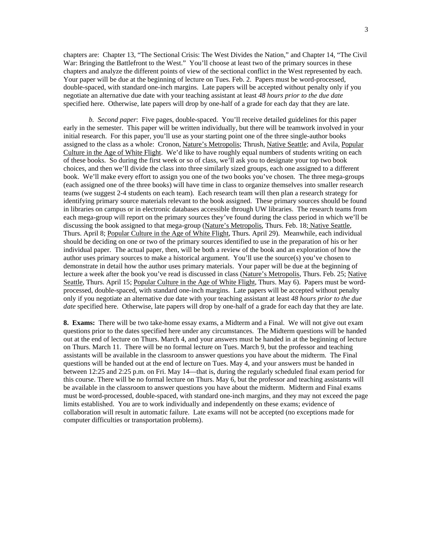chapters are: Chapter 13, "The Sectional Crisis: The West Divides the Nation," and Chapter 14, "The Civil War: Bringing the Battlefront to the West." You'll choose at least two of the primary sources in these chapters and analyze the different points of view of the sectional conflict in the West represented by each. Your paper will be due at the beginning of lecture on Tues. Feb. 2.Papers must be word-processed, double-spaced, with standard one-inch margins. Late papers will be accepted without penalty only if you negotiate an alternative due date with your teaching assistant at least *48 hours prior to the due date* specified here. Otherwise, late papers will drop by one-half of a grade for each day that they are late.

*b. Second paper*: Five pages, double-spaced. You'll receive detailed guidelines for this paper early in the semester. This paper will be written individually, but there will be teamwork involved in your initial research. For this paper, you'll use as your starting point one of the three single-author books assigned to the class as a whole: Cronon, Nature's Metropolis; Thrush, Native Seattle; and Avila, Popular Culture in the Age of White Flight. We'd like to have roughly equal numbers of students writing on each of these books. So during the first week or so of class, we'll ask you to designate your top two book choices, and then we'll divide the class into three similarly sized groups, each one assigned to a different book. We'll make every effort to assign you one of the two books you've chosen. The three mega-groups (each assigned one of the three books) will have time in class to organize themselves into smaller research teams (we suggest 2-4 students on each team). Each research team will then plan a research strategy for identifying primary source materials relevant to the book assigned. These primary sources should be found in libraries on campus or in electronic databases accessible through UW libraries. The research teams from each mega-group will report on the primary sources they've found during the class period in which we'll be discussing the book assigned to that mega-group (Nature's Metropolis, Thurs. Feb. 18; Native Seattle, Thurs. April 8; Popular Culture in the Age of White Flight, Thurs. April 29). Meanwhile, each individual should be deciding on one or two of the primary sources identified to use in the preparation of his or her individual paper. The actual paper, then, will be both a review of the book and an exploration of how the author uses primary sources to make a historical argument. You'll use the source(s) you've chosen to demonstrate in detail how the author uses primary materials. Your paper will be due at the beginning of lecture a week after the book you've read is discussed in class (Nature's Metropolis, Thurs. Feb. 25; Native Seattle, Thurs. April 15; Popular Culture in the Age of White Flight, Thurs. May 6). Papers must be wordprocessed, double-spaced, with standard one-inch margins. Late papers will be accepted without penalty only if you negotiate an alternative due date with your teaching assistant at least *48 hours prior to the due date* specified here. Otherwise, late papers will drop by one-half of a grade for each day that they are late.

**8. Exams:** There will be two take-home essay exams, a Midterm and a Final. We will not give out exam questions prior to the dates specified here under any circumstances. The Midterm questions will be handed out at the end of lecture on Thurs. March 4, and your answers must be handed in at the beginning of lecture on Thurs. March 11. There will be no formal lecture on Tues. March 9, but the professor and teaching assistants will be available in the classroom to answer questions you have about the midterm. The Final questions will be handed out at the end of lecture on Tues. May 4, and your answers must be handed in between 12:25 and 2:25 p.m. on Fri. May 14—that is, during the regularly scheduled final exam period for this course. There will be no formal lecture on Thurs. May 6, but the professor and teaching assistants will be available in the classroom to answer questions you have about the midterm. Midterm and Final exams must be word-processed, double-spaced, with standard one-inch margins, and they may not exceed the page limits established. You are to work individually and independently on these exams; evidence of collaboration will result in automatic failure. Late exams will not be accepted (no exceptions made for computer difficulties or transportation problems).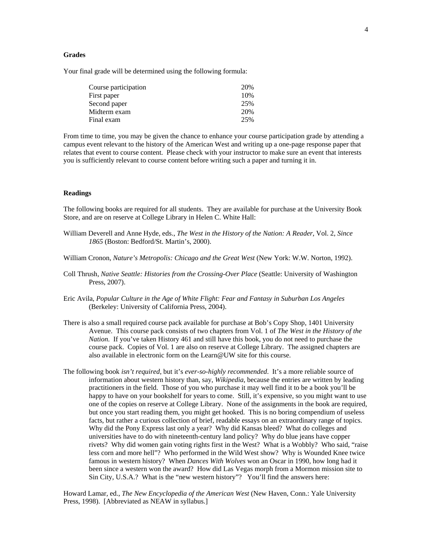# **Grades**

Your final grade will be determined using the following formula:

| Course participation | 20% |
|----------------------|-----|
| First paper          | 10% |
| Second paper         | 25% |
| Midterm exam         | 20% |
| Final exam           | 25% |

From time to time, you may be given the chance to enhance your course participation grade by attending a campus event relevant to the history of the American West and writing up a one-page response paper that relates that event to course content. Please check with your instructor to make sure an event that interests you is sufficiently relevant to course content before writing such a paper and turning it in.

### **Readings**

The following books are required for all students. They are available for purchase at the University Book Store, and are on reserve at College Library in Helen C. White Hall:

- William Deverell and Anne Hyde, eds., *The West in the History of the Nation: A Reader*, Vol. 2, *Since 1865* (Boston: Bedford/St. Martin's, 2000).
- William Cronon, *Nature's Metropolis: Chicago and the Great West* (New York: W.W. Norton, 1992).
- Coll Thrush, *Native Seattle: Histories from the Crossing-Over Place* (Seattle: University of Washington Press, 2007).
- Eric Avila, *Popular Culture in the Age of White Flight: Fear and Fantasy in Suburban Los Angeles* (Berkeley: University of California Press, 2004).
- There is also a small required course pack available for purchase at Bob's Copy Shop, 1401 University Avenue. This course pack consists of two chapters from Vol. 1 of *The West in the History of the Nation*. If you've taken History 461 and still have this book, you do not need to purchase the course pack. Copies of Vol. 1 are also on reserve at College Library. The assigned chapters are also available in electronic form on the Learn@UW site for this course.
- The following book *isn't required*, but it's *ever-so-highly recommended*. It's a more reliable source of information about western history than, say, *Wikipedia*, because the entries are written by leading practitioners in the field. Those of you who purchase it may well find it to be a book you'll be happy to have on your bookshelf for years to come. Still, it's expensive, so you might want to use one of the copies on reserve at College Library. None of the assignments in the book are required, but once you start reading them, you might get hooked. This is no boring compendium of useless facts, but rather a curious collection of brief, readable essays on an extraordinary range of topics. Why did the Pony Express last only a year? Why did Kansas bleed? What do colleges and universities have to do with nineteenth-century land policy? Why do blue jeans have copper rivets? Why did women gain voting rights first in the West? What is a Wobbly? Who said, "raise less corn and more hell"? Who performed in the Wild West show? Why is Wounded Knee twice famous in western history? When *Dances With Wolves* won an Oscar in 1990, how long had it been since a western won the award? How did Las Vegas morph from a Mormon mission site to Sin City, U.S.A.? What is the "new western history"? You'll find the answers here:

Howard Lamar, ed., *The New Encyclopedia of the American West* (New Haven, Conn.: Yale University Press, 1998). [Abbreviated as NEAW in syllabus.]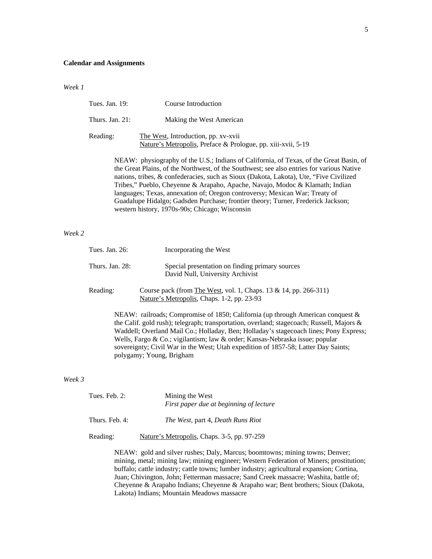#### **Calendar and Assignments**

*Week 1*

| Tues. Jan. 19:     | Course Introduction                                                                                 |
|--------------------|-----------------------------------------------------------------------------------------------------|
| Thurs. Jan. $21$ : | Making the West American                                                                            |
| Reading:           | The West, Introduction, pp. xv-xvii<br>Nature's Metropolis, Preface & Prologue, pp. xiii-xvii, 5-19 |

NEAW: physiography of the U.S.; Indians of California, of Texas, of the Great Basin, of the Great Plains, of the Northwest, of the Southwest; see also entries for various Native nations, tribes, & confederacies, such as Sioux (Dakota, Lakota), Ute, "Five Civilized Tribes," Pueblo, Cheyenne & Arapaho, Apache, Navajo, Modoc & Klamath; Indian languages; Texas, annexation of; Oregon controversy; Mexican War; Treaty of Guadalupe Hidalgo; Gadsden Purchase; frontier theory; Turner, Frederick Jackson; western history, 1970s-90s; Chicago; Wisconsin

# *Week 2*

| Tues. Jan. 26:  | Incorporating the West                                                                                             |
|-----------------|--------------------------------------------------------------------------------------------------------------------|
| Thurs. Jan. 28: | Special presentation on finding primary sources<br>David Null, University Archivist                                |
| Reading:        | Course pack (from The West, vol. 1, Chaps. 13 & 14, pp. 266-311)<br>Nature's Metropolis, Chaps. 1-2, pp. 23-93     |
|                 | $\overline{\text{ME}}$ $\overline{\text{AW}}$ , reilroade: Compromise of 1950; Colifornia (up through American com |

NEAW: railroads; Compromise of 1850; California (up through American conquest & the Calif. gold rush); telegraph; transportation, overland; stagecoach; Russell, Majors & Waddell; Overland Mail Co.; Holladay, Ben; Holladay's stagecoach lines; Pony Express; Wells, Fargo & Co.; vigilantism; law & order; Kansas-Nebraska issue; popular sovereignty; Civil War in the West; Utah expedition of 1857-58; Latter Day Saints; polygamy; Young, Brigham

# *Week 3*

| Tues. Feb. 2:  | Mining the West<br>First paper due at beginning of lecture |
|----------------|------------------------------------------------------------|
| Thurs. Feb. 4: | The West, part 4, Death Runs Riot                          |
| Reading:       | Nature's Metropolis, Chaps. 3-5, pp. 97-259                |

NEAW: gold and silver rushes; Daly, Marcus; boomtowns; mining towns; Denver; mining, metal; mining law; mining engineer; Western Federation of Miners; prostitution; buffalo; cattle industry; cattle towns; lumber industry; agricultural expansion; Cortina, Juan; Chivington, John; Fetterman massacre; Sand Creek massacre; Washita, battle of; Cheyenne & Arapaho Indians; Cheyenne & Arapaho war; Bent brothers; Sioux (Dakota, Lakota) Indians; Mountain Meadows massacre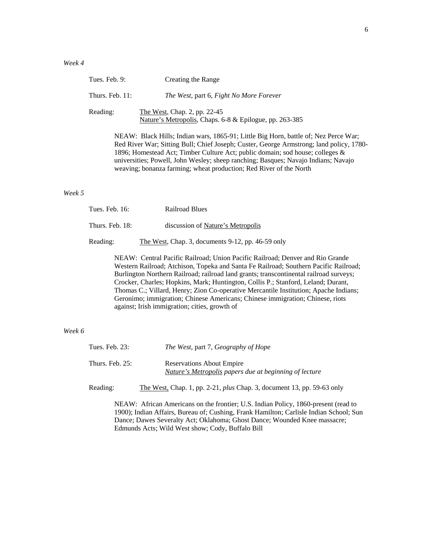| Tues. Feb. 9:      | Creating the Range                                                                                                                                                                                                                                                                                                                                                                                                        |
|--------------------|---------------------------------------------------------------------------------------------------------------------------------------------------------------------------------------------------------------------------------------------------------------------------------------------------------------------------------------------------------------------------------------------------------------------------|
| Thurs. Feb. $11$ : | The West, part 6, Fight No More Forever                                                                                                                                                                                                                                                                                                                                                                                   |
| Reading:           | The West, Chap. 2, pp. 22-45<br>Nature's Metropolis, Chaps. 6-8 & Epilogue, pp. 263-385                                                                                                                                                                                                                                                                                                                                   |
|                    | NEAW: Black Hills; Indian wars, 1865-91; Little Big Horn, battle of; Nez Perce War;<br>Red River War; Sitting Bull; Chief Joseph; Custer, George Armstrong; land policy, 178<br>1896; Homestead Act; Timber Culture Act; public domain; sod house; colleges &<br>universities; Powell, John Wesley; sheep ranching; Basques; Navajo Indians; Navajo<br>weaving; bonanza farming; wheat production; Red River of the North |

### *Week 5*

| Tues. Feb. 16:  | <b>Railroad Blues</b>                             |
|-----------------|---------------------------------------------------|
| Thurs. Feb. 18: | discussion of Nature's Metropolis                 |
| Reading:        | The West, Chap. 3, documents 9-12, pp. 46-59 only |

NEAW: Central Pacific Railroad; Union Pacific Railroad; Denver and Rio Grande Western Railroad; Atchison, Topeka and Santa Fe Railroad; Southern Pacific Railroad; Burlington Northern Railroad; railroad land grants; transcontinental railroad surveys; Crocker, Charles; Hopkins, Mark; Huntington, Collis P.; Stanford, Leland; Durant, Thomas C.; Villard, Henry; Zion Co-operative Mercantile Institution; Apache Indians; Geronimo; immigration; Chinese Americans; Chinese immigration; Chinese, riots against; Irish immigration; cities, growth of

# *Week 6*

| Tues. Feb. $23:$ | <i>The West, part 7, Geography of Hope</i>                                                 |
|------------------|--------------------------------------------------------------------------------------------|
| Thurs. Feb. 25:  | <b>Reservations About Empire</b><br>Nature's Metropolis papers due at beginning of lecture |
| Reading:         | The West, Chap. 1, pp. 2-21, <i>plus</i> Chap. 3, document 13, pp. 59-63 only              |

NEAW: African Americans on the frontier; U.S. Indian Policy, 1860-present (read to 1900); Indian Affairs, Bureau of; Cushing, Frank Hamilton; Carlisle Indian School; Sun Dance; Dawes Severalty Act; Oklahoma; Ghost Dance; Wounded Knee massacre; Edmunds Acts; Wild West show; Cody, Buffalo Bill

land policy, 1780-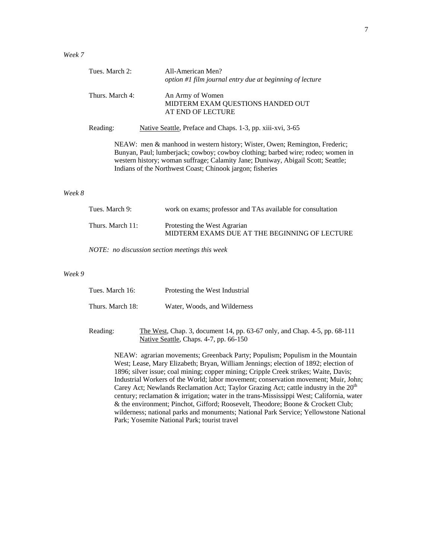| Tues. March 2:  | All-American Men?<br>option #1 film journal entry due at beginning of lecture                                                                                                                                                                                                                                  |
|-----------------|----------------------------------------------------------------------------------------------------------------------------------------------------------------------------------------------------------------------------------------------------------------------------------------------------------------|
| Thurs. March 4: | An Army of Women<br>MIDTERM EXAM QUESTIONS HANDED OUT<br>AT END OF LECTURE                                                                                                                                                                                                                                     |
| Reading:        | Native Seattle, Preface and Chaps. 1-3, pp. xiii-xvi, 3-65                                                                                                                                                                                                                                                     |
|                 | NEAW: men & manhood in western history; Wister, Owen; Remington, Frederic;<br>Bunyan, Paul; lumberjack; cowboy; cowboy clothing; barbed wire; rodeo; women in<br>western history; woman suffrage; Calamity Jane; Duniway, Abigail Scott; Seattle;<br>Indians of the Northwest Coast; Chinook jargon; fisheries |

# *Week 8*

| Tues. March 9:   | work on exams; professor and TAs available for consultation                   |
|------------------|-------------------------------------------------------------------------------|
| Thurs. March 11: | Protesting the West Agrarian<br>MIDTERM EXAMS DUE AT THE BEGINNING OF LECTURE |

*NOTE: no discussion section meetings this week* 

# *Week 9*

| Tues. March 16:  | Protesting the West Industrial |
|------------------|--------------------------------|
| Thurs. March 18: | Water, Woods, and Wilderness   |

 Reading: The West, Chap. 3, document 14, pp. 63-67 only, and Chap. 4-5, pp. 68-111 Native Seattle, Chaps. 4-7, pp. 66-150

NEAW: agrarian movements; Greenback Party; Populism; Populism in the Mountain West; Lease, Mary Elizabeth; Bryan, William Jennings; election of 1892; election of 1896; silver issue; coal mining; copper mining; Cripple Creek strikes; Waite, Davis; Industrial Workers of the World; labor movement; conservation movement; Muir, John; Carey Act; Newlands Reclamation Act; Taylor Grazing Act; cattle industry in the 20<sup>th</sup> century; reclamation & irrigation; water in the trans-Mississippi West; California, water & the environment; Pinchot, Gifford; Roosevelt, Theodore; Boone & Crockett Club; wilderness; national parks and monuments; National Park Service; Yellowstone National Park; Yosemite National Park; tourist travel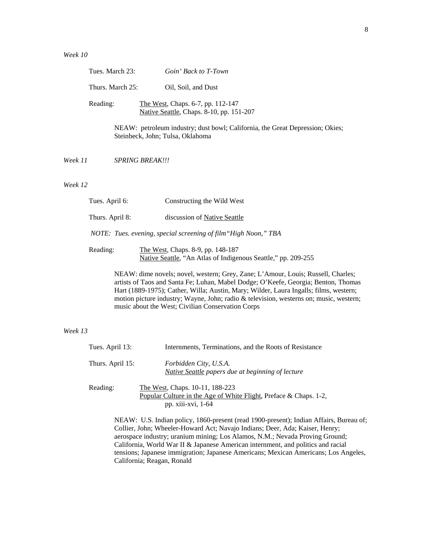|         | Tues. March 23:        | Goin' Back to T-Town                                                                                              |
|---------|------------------------|-------------------------------------------------------------------------------------------------------------------|
|         | Thurs. March 25:       | Oil, Soil, and Dust                                                                                               |
|         | Reading:               | <u>The West, Chaps.</u> 6-7, pp. 112-147<br>Native Seattle, Chaps. 8-10, pp. 151-207                              |
|         |                        | NEAW: petroleum industry; dust bowl; California, the Great Depression; Okies;<br>Steinbeck, John; Tulsa, Oklahoma |
| Week 11 | <b>SPRING BREAK!!!</b> |                                                                                                                   |
| Week 12 |                        |                                                                                                                   |
|         | Tues. April 6:         | Constructing the Wild West                                                                                        |
|         | Thurs. April 8:        | discussion of Native Seattle                                                                                      |
|         |                        |                                                                                                                   |

*NOTE: Tues. evening, special screening of film"High Noon," TBA*

Reading: The West, Chaps. 8-9, pp. 148-187 Native Seattle, "An Atlas of Indigenous Seattle," pp. 209-255

> NEAW: dime novels; novel, western; Grey, Zane; L'Amour, Louis; Russell, Charles; artists of Taos and Santa Fe; Luhan, Mabel Dodge; O'Keefe, Georgia; Benton, Thomas Hart (1889-1975); Cather, Willa; Austin, Mary; Wilder, Laura Ingalls; films, western; motion picture industry; Wayne, John; radio & television, westerns on; music, western; music about the West; Civilian Conservation Corps

# *Week 13*

| Tues. April 13:  | Internments, Terminations, and the Roots of Resistance                                                                                                                                                                                                   |
|------------------|----------------------------------------------------------------------------------------------------------------------------------------------------------------------------------------------------------------------------------------------------------|
| Thurs. April 15: | Forbidden City, U.S.A.<br>Native Seattle papers due at beginning of lecture                                                                                                                                                                              |
| Reading:         | The West, Chaps. 10-11, 188-223<br>Popular Culture in the Age of White Flight, Preface & Chaps. 1-2,<br>pp. xiii-xvi, 1-64                                                                                                                               |
|                  | NEAW: U.S. Indian policy, 1860-present (read 1900-present); Indian Affairs, Bureau of;<br>Collier, John; Wheeler-Howard Act; Navajo Indians; Deer, Ada; Kaiser, Henry;<br>aerospace industry uranium mining Los Alamos $N M \cdot$ Nevada Proving Ground |

aerospace industry; uranium mining; Los Alamos, N.M.; Nevada Proving Ground; California, World War II & Japanese American internment, and politics and racial tensions; Japanese immigration; Japanese Americans; Mexican Americans; Los Angeles, California; Reagan, Ronald